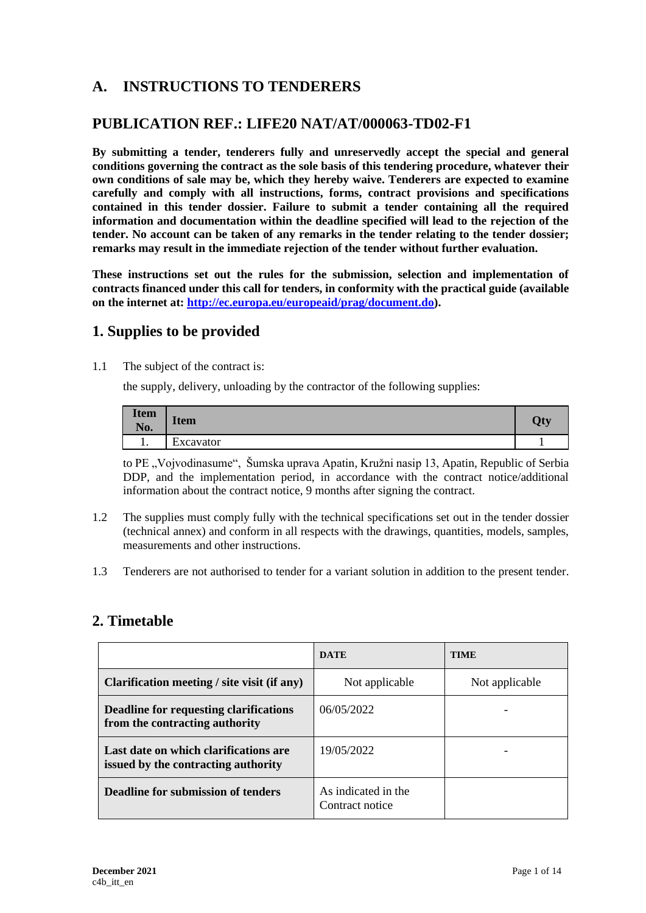# **A. INSTRUCTIONS TO TENDERERS**

## **PUBLICATION REF.: LIFE20 NAT/AT/000063-TD02-F1**

**By submitting a tender, tenderers fully and unreservedly accept the special and general conditions governing the contract as the sole basis of this tendering procedure, whatever their own conditions of sale may be, which they hereby waive. Tenderers are expected to examine carefully and comply with all instructions, forms, contract provisions and specifications contained in this tender dossier. Failure to submit a tender containing all the required information and documentation within the deadline specified will lead to the rejection of the tender. No account can be taken of any remarks in the tender relating to the tender dossier; remarks may result in the immediate rejection of the tender without further evaluation.**

**These instructions set out the rules for the submission, selection and implementation of contracts financed under this call for tenders, in conformity with the practical guide (available on the internet at: [http://ec.europa.eu/europeaid/prag/document.do\)](http://ec.europa.eu/europeaid/prag/document.do).**

## **1. Supplies to be provided**

1.1 The subject of the contract is:

the supply, delivery, unloading by the contractor of the following supplies:

| <b>Item</b><br>No. | $\mathbf{r}$<br><b>Item</b> | Qty |
|--------------------|-----------------------------|-----|
| . .                | Excavator                   |     |

to PE "Vojvodinasume", Šumska uprava Apatin, Kružni nasip 13, Apatin, Republic of Serbia DDP, and the implementation period, in accordance with the contract notice/additional information about the contract notice, 9 months after signing the contract.

- 1.2 The supplies must comply fully with the technical specifications set out in the tender dossier (technical annex) and conform in all respects with the drawings, quantities, models, samples, measurements and other instructions.
- 1.3 Tenderers are not authorised to tender for a variant solution in addition to the present tender.

## **2. Timetable**

|                                                                              | <b>DATE</b>                            | <b>TIME</b>    |
|------------------------------------------------------------------------------|----------------------------------------|----------------|
| Clarification meeting / site visit (if any)                                  | Not applicable                         | Not applicable |
| Deadline for requesting clarifications<br>from the contracting authority     | 06/05/2022                             |                |
| Last date on which clarifications are<br>issued by the contracting authority | 19/05/2022                             |                |
| Deadline for submission of tenders                                           | As indicated in the<br>Contract notice |                |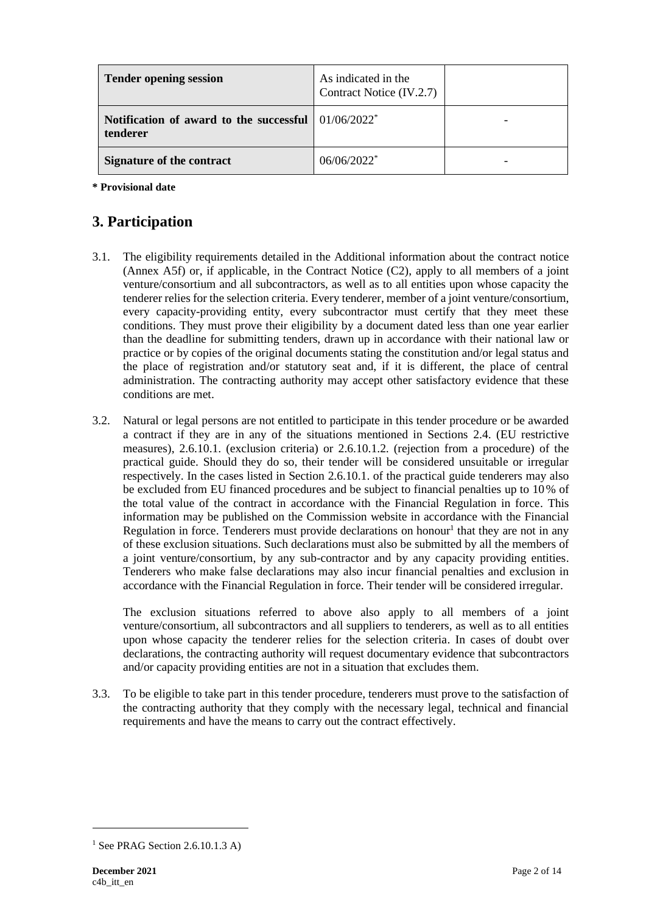| <b>Tender opening session</b>                                      | As indicated in the<br>Contract Notice (IV.2.7) |  |
|--------------------------------------------------------------------|-------------------------------------------------|--|
| Notification of award to the successful $01/06/2022^*$<br>tenderer |                                                 |  |
| <b>Signature of the contract</b>                                   | $06/06/2022$ <sup>*</sup>                       |  |

**\* Provisional date**

# **3. Participation**

- 3.1. The eligibility requirements detailed in the Additional information about the contract notice (Annex A5f) or, if applicable, in the Contract Notice (C2), apply to all members of a joint venture/consortium and all subcontractors, as well as to all entities upon whose capacity the tenderer relies for the selection criteria. Every tenderer, member of a joint venture/consortium, every capacity-providing entity, every subcontractor must certify that they meet these conditions. They must prove their eligibility by a document dated less than one year earlier than the deadline for submitting tenders, drawn up in accordance with their national law or practice or by copies of the original documents stating the constitution and/or legal status and the place of registration and/or statutory seat and, if it is different, the place of central administration. The contracting authority may accept other satisfactory evidence that these conditions are met.
- 3.2. Natural or legal persons are not entitled to participate in this tender procedure or be awarded a contract if they are in any of the situations mentioned in Sections 2.4. (EU restrictive measures), 2.6.10.1. (exclusion criteria) or 2.6.10.1.2. (rejection from a procedure) of the practical guide. Should they do so, their tender will be considered unsuitable or irregular respectively. In the cases listed in Section 2.6.10.1. of the practical guide tenderers may also be excluded from EU financed procedures and be subject to financial penalties up to 10% of the total value of the contract in accordance with the Financial Regulation in force. This information may be published on the Commission website in accordance with the Financial Regulation in force. Tenderers must provide declarations on honour<sup>1</sup> that they are not in any of these exclusion situations. Such declarations must also be submitted by all the members of a joint venture/consortium, by any sub-contractor and by any capacity providing entities. Tenderers who make false declarations may also incur financial penalties and exclusion in accordance with the Financial Regulation in force. Their tender will be considered irregular.

The exclusion situations referred to above also apply to all members of a joint venture/consortium, all subcontractors and all suppliers to tenderers, as well as to all entities upon whose capacity the tenderer relies for the selection criteria. In cases of doubt over declarations, the contracting authority will request documentary evidence that subcontractors and/or capacity providing entities are not in a situation that excludes them.

3.3. To be eligible to take part in this tender procedure, tenderers must prove to the satisfaction of the contracting authority that they comply with the necessary legal, technical and financial requirements and have the means to carry out the contract effectively.

<sup>&</sup>lt;sup>1</sup> See PRAG Section 2.6.10.1.3 A)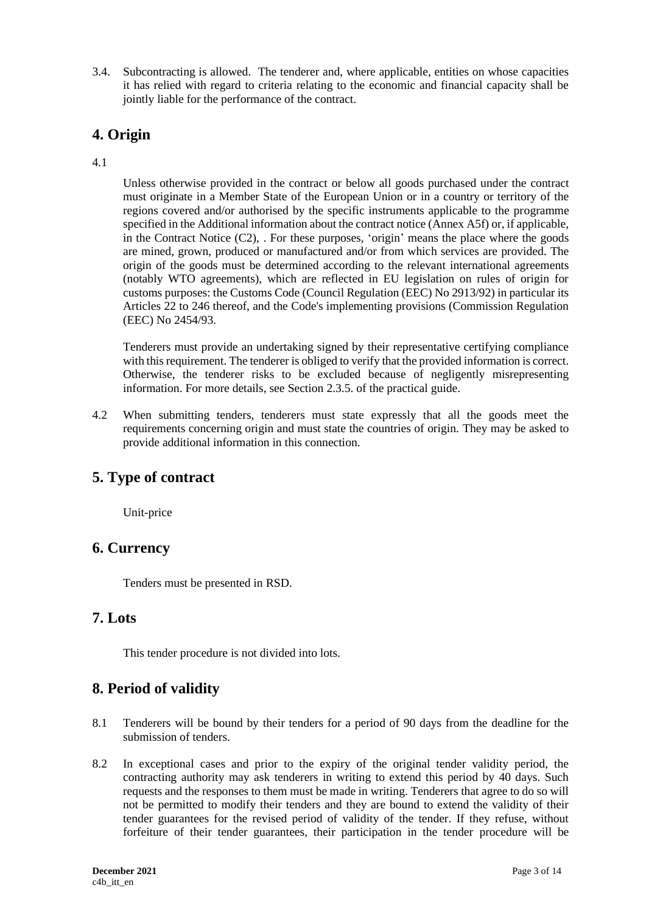3.4. Subcontracting is allowed. The tenderer and, where applicable, entities on whose capacities it has relied with regard to criteria relating to the economic and financial capacity shall be jointly liable for the performance of the contract.

# **4. Origin**

#### 4.1

Unless otherwise provided in the contract or below all goods purchased under the contract must originate in a Member State of the European Union or in a country or territory of the regions covered and/or authorised by the specific instruments applicable to the programme specified in the Additional information about the contract notice (Annex A5f) or, if applicable, in the Contract Notice (C2), . For these purposes, 'origin' means the place where the goods are mined, grown, produced or manufactured and/or from which services are provided. The origin of the goods must be determined according to the relevant international agreements (notably WTO agreements), which are reflected in EU legislation on rules of origin for customs purposes: the Customs Code (Council Regulation (EEC) No 2913/92) in particular its Articles 22 to 246 thereof, and the Code's implementing provisions (Commission Regulation (EEC) No 2454/93.

Tenderers must provide an undertaking signed by their representative certifying compliance with this requirement. The tenderer is obliged to verify that the provided information is correct. Otherwise, the tenderer risks to be excluded because of negligently misrepresenting information. For more details, see Section 2.3.5. of the practical guide.

4.2 When submitting tenders, tenderers must state expressly that all the goods meet the requirements concerning origin and must state the countries of origin. They may be asked to provide additional information in this connection.

## **5. Type of contract**

Unit-price

## **6. Currency**

Tenders must be presented in RSD.

#### **7. Lots**

This tender procedure is not divided into lots.

## **8. Period of validity**

- 8.1 Tenderers will be bound by their tenders for a period of 90 days from the deadline for the submission of tenders.
- 8.2 In exceptional cases and prior to the expiry of the original tender validity period, the contracting authority may ask tenderers in writing to extend this period by 40 days. Such requests and the responses to them must be made in writing. Tenderers that agree to do so will not be permitted to modify their tenders and they are bound to extend the validity of their tender guarantees for the revised period of validity of the tender. If they refuse, without forfeiture of their tender guarantees, their participation in the tender procedure will be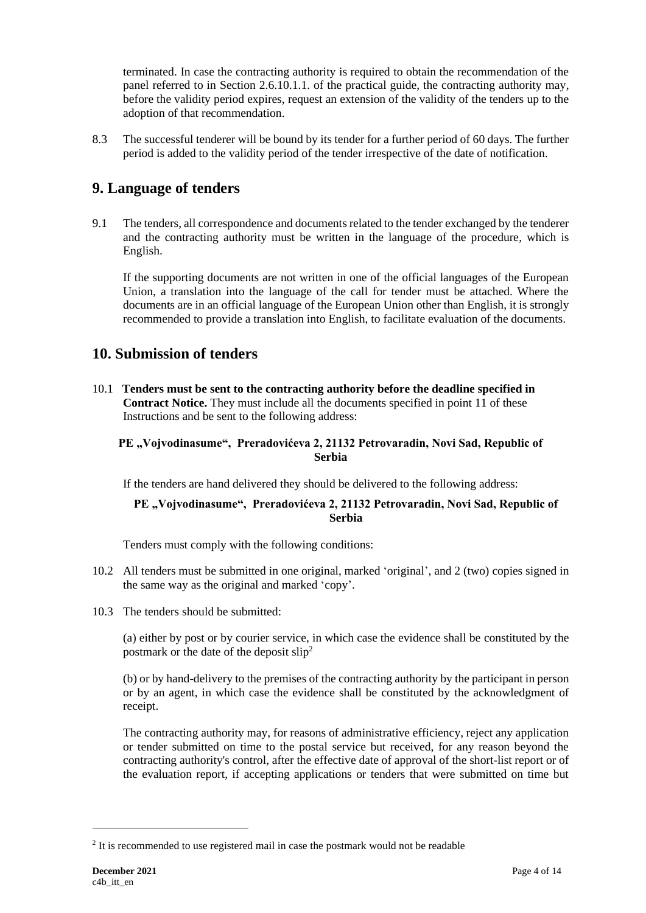terminated. In case the contracting authority is required to obtain the recommendation of the panel referred to in Section 2.6.10.1.1. of the practical guide, the contracting authority may, before the validity period expires, request an extension of the validity of the tenders up to the adoption of that recommendation.

8.3 The successful tenderer will be bound by its tender for a further period of 60 days. The further period is added to the validity period of the tender irrespective of the date of notification.

## **9. Language of tenders**

9.1 The tenders, all correspondence and documents related to the tender exchanged by the tenderer and the contracting authority must be written in the language of the procedure, which is English.

If the supporting documents are not written in one of the official languages of the European Union, a translation into the language of the call for tender must be attached. Where the documents are in an official language of the European Union other than English, it is strongly recommended to provide a translation into English, to facilitate evaluation of the documents.

## **10. Submission of tenders**

10.1 **Tenders must be sent to the contracting authority before the deadline specified in Contract Notice.** They must include all the documents specified in point 11 of these Instructions and be sent to the following address:

#### PE "Vojvodinasume", Preradovićeva 2, 21132 Petrovaradin, Novi Sad, Republic of **Serbia**

If the tenders are hand delivered they should be delivered to the following address:

#### PE "Vojvodinasume", Preradovićeva 2, 21132 Petrovaradin, Novi Sad, Republic of **Serbia**

Tenders must comply with the following conditions:

- 10.2 All tenders must be submitted in one original, marked 'original', and 2 (two) copies signed in the same way as the original and marked 'copy'.
- 10.3 The tenders should be submitted:

(a) either by post or by courier service, in which case the evidence shall be constituted by the postmark or the date of the deposit slip<sup>2</sup>

(b) or by hand-delivery to the premises of the contracting authority by the participant in person or by an agent, in which case the evidence shall be constituted by the acknowledgment of receipt.

The contracting authority may, for reasons of administrative efficiency, reject any application or tender submitted on time to the postal service but received, for any reason beyond the contracting authority's control, after the effective date of approval of the short-list report or of the evaluation report, if accepting applications or tenders that were submitted on time but

<sup>&</sup>lt;sup>2</sup> It is recommended to use registered mail in case the postmark would not be readable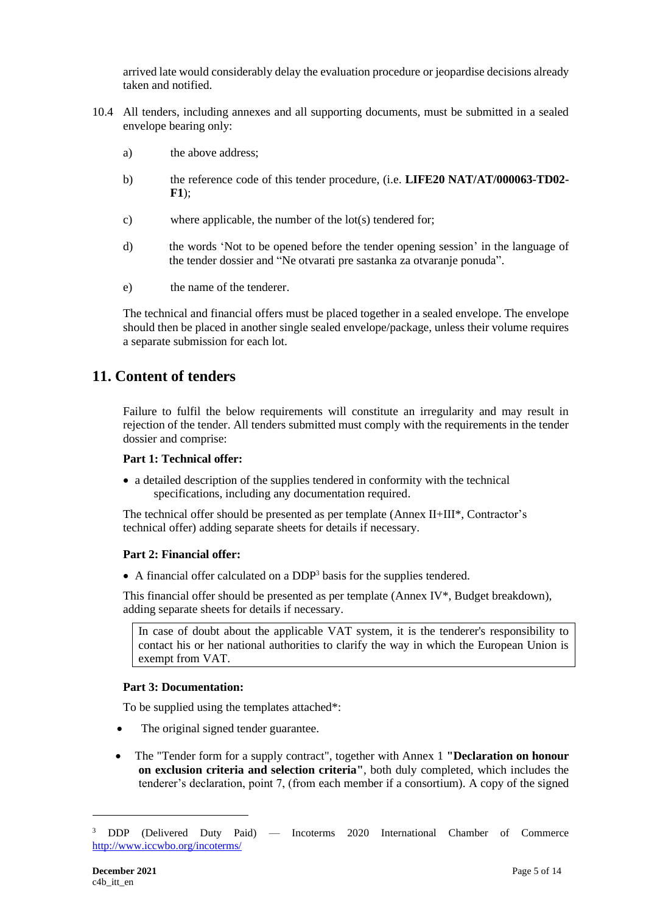arrived late would considerably delay the evaluation procedure or jeopardise decisions already taken and notified.

- 10.4 All tenders, including annexes and all supporting documents, must be submitted in a sealed envelope bearing only:
	- a) the above address;
	- b) the reference code of this tender procedure, (i.e. **LIFE20 NAT/AT/000063-TD02- F1**);
	- c) where applicable, the number of the lot(s) tendered for;
	- d) the words 'Not to be opened before the tender opening session' in the language of the tender dossier and "Ne otvarati pre sastanka za otvaranje ponuda".
	- e) the name of the tenderer.

The technical and financial offers must be placed together in a sealed envelope. The envelope should then be placed in another single sealed envelope/package, unless their volume requires a separate submission for each lot.

## **11. Content of tenders**

Failure to fulfil the below requirements will constitute an irregularity and may result in rejection of the tender. All tenders submitted must comply with the requirements in the tender dossier and comprise:

#### **Part 1: Technical offer:**

• a detailed description of the supplies tendered in conformity with the technical specifications, including any documentation required.

The technical offer should be presented as per template (Annex II+III\*, Contractor's technical offer) adding separate sheets for details if necessary.

#### **Part 2: Financial offer:**

• A financial offer calculated on a DDP<sup>3</sup> basis for the supplies tendered.

This financial offer should be presented as per template (Annex IV\*, Budget breakdown), adding separate sheets for details if necessary.

In case of doubt about the applicable VAT system, it is the tenderer's responsibility to contact his or her national authorities to clarify the way in which the European Union is exempt from VAT.

#### **Part 3: Documentation:**

To be supplied using the templates attached\*:

- The original signed tender guarantee.
- The "Tender form for a supply contract", together with Annex 1 **"Declaration on honour on exclusion criteria and selection criteria"**, both duly completed, which includes the tenderer's declaration, point 7, (from each member if a consortium). A copy of the signed

<sup>3</sup> DDP (Delivered Duty Paid) — Incoterms 2020 International Chamber of Commerce <http://www.iccwbo.org/incoterms/>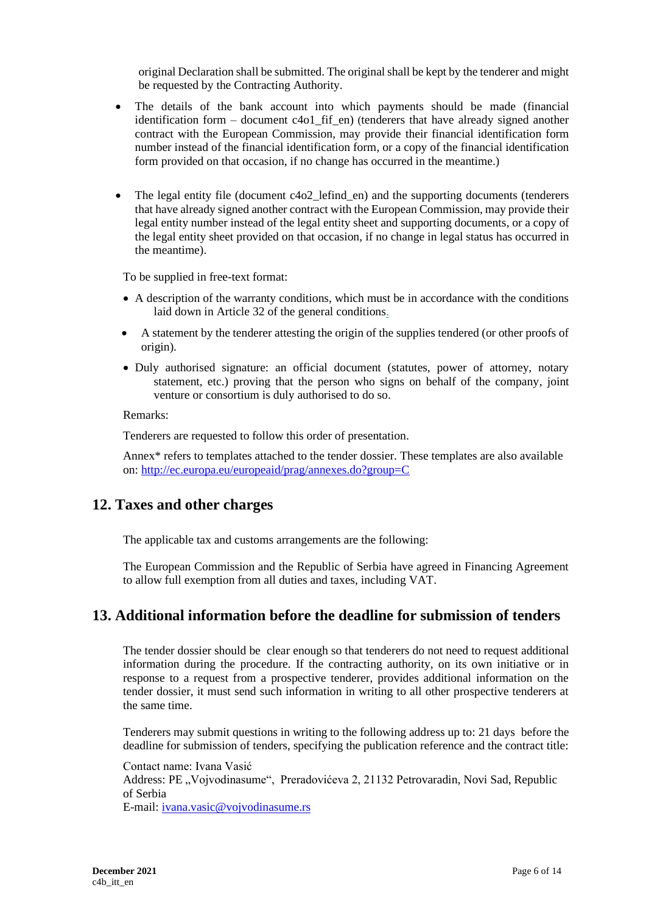original Declaration shall be submitted. The original shall be kept by the tenderer and might be requested by the Contracting Authority.

- The details of the bank account into which payments should be made (financial identification form – document c4o1\_fif\_en) (tenderers that have already signed another contract with the European Commission, may provide their financial identification form number instead of the financial identification form, or a copy of the financial identification form provided on that occasion, if no change has occurred in the meantime.)
- The legal entity file (document c4o2\_lefind\_en) and the supporting documents (tenderers that have already signed another contract with the European Commission, may provide their legal entity number instead of the legal entity sheet and supporting documents, or a copy of the legal entity sheet provided on that occasion, if no change in legal status has occurred in the meantime).

To be supplied in free-text format:

- A description of the warranty conditions, which must be in accordance with the conditions laid down in Article 32 of the general conditions.
- A statement by the tenderer attesting the origin of the supplies tendered (or other proofs of origin).
- Duly authorised signature: an official document (statutes, power of attorney, notary statement, etc.) proving that the person who signs on behalf of the company, joint venture or consortium is duly authorised to do so.

Remarks:

Tenderers are requested to follow this order of presentation.

Annex\* refers to templates attached to the tender dossier. These templates are also available on:<http://ec.europa.eu/europeaid/prag/annexes.do?group=C>

#### **12. Taxes and other charges**

The applicable tax and customs arrangements are the following:

The European Commission and the Republic of Serbia have agreed in Financing Agreement to allow full exemption from all duties and taxes, including VAT.

## **13. Additional information before the deadline for submission of tenders**

The tender dossier should be clear enough so that tenderers do not need to request additional information during the procedure. If the contracting authority, on its own initiative or in response to a request from a prospective tenderer, provides additional information on the tender dossier, it must send such information in writing to all other prospective tenderers at the same time.

Tenderers may submit questions in writing to the following address up to: 21 days before the deadline for submission of tenders, specifying the publication reference and the contract title:

Contact name: Ivana Vasić Address: PE "Vojvodinasume", Preradovićeva 2, 21132 Petrovaradin, Novi Sad, Republic of Serbia E-mail: [ivana.vasic@vojvodinasume.rs](mailto:ivana.vasic@vojvodinasume.rs)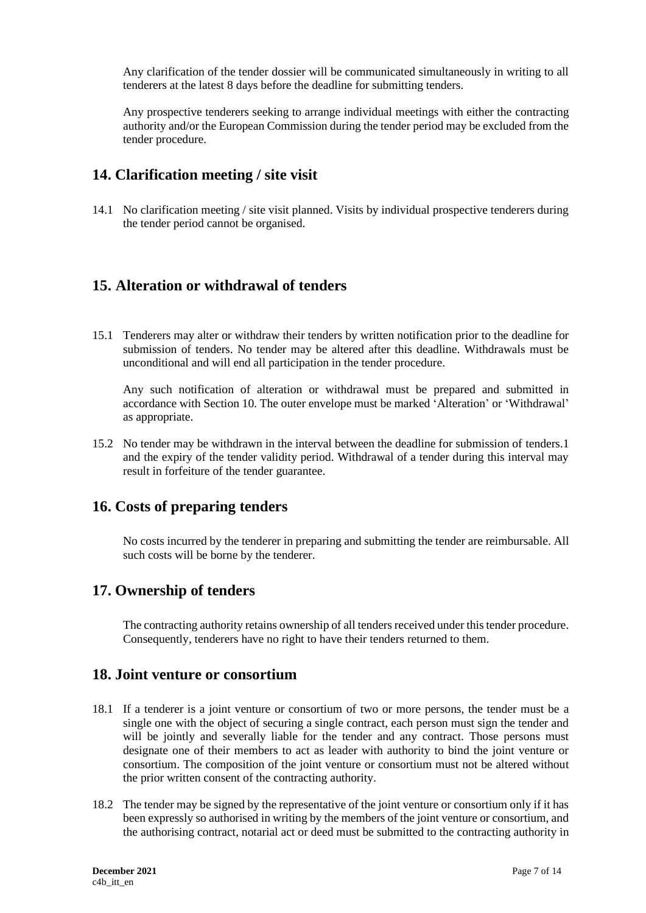Any clarification of the tender dossier will be communicated simultaneously in writing to all tenderers at the latest 8 days before the deadline for submitting tenders.

Any prospective tenderers seeking to arrange individual meetings with either the contracting authority and/or the European Commission during the tender period may be excluded from the tender procedure.

### **14. Clarification meeting / site visit**

14.1 No clarification meeting / site visit planned. Visits by individual prospective tenderers during the tender period cannot be organised.

## **15. Alteration or withdrawal of tenders**

15.1 Tenderers may alter or withdraw their tenders by written notification prior to the deadline for submission of tenders. No tender may be altered after this deadline. Withdrawals must be unconditional and will end all participation in the tender procedure.

Any such notification of alteration or withdrawal must be prepared and submitted in accordance with Section 10. The outer envelope must be marked 'Alteration' or 'Withdrawal' as appropriate.

15.2 No tender may be withdrawn in the interval between the deadline for submission of tenders.1 and the expiry of the tender validity period. Withdrawal of a tender during this interval may result in forfeiture of the tender guarantee.

## **16. Costs of preparing tenders**

No costs incurred by the tenderer in preparing and submitting the tender are reimbursable. All such costs will be borne by the tenderer.

#### **17. Ownership of tenders**

The contracting authority retains ownership of all tenders received under this tender procedure. Consequently, tenderers have no right to have their tenders returned to them.

#### **18. Joint venture or consortium**

- 18.1 If a tenderer is a joint venture or consortium of two or more persons, the tender must be a single one with the object of securing a single contract, each person must sign the tender and will be jointly and severally liable for the tender and any contract. Those persons must designate one of their members to act as leader with authority to bind the joint venture or consortium. The composition of the joint venture or consortium must not be altered without the prior written consent of the contracting authority.
- 18.2 The tender may be signed by the representative of the joint venture or consortium only if it has been expressly so authorised in writing by the members of the joint venture or consortium, and the authorising contract, notarial act or deed must be submitted to the contracting authority in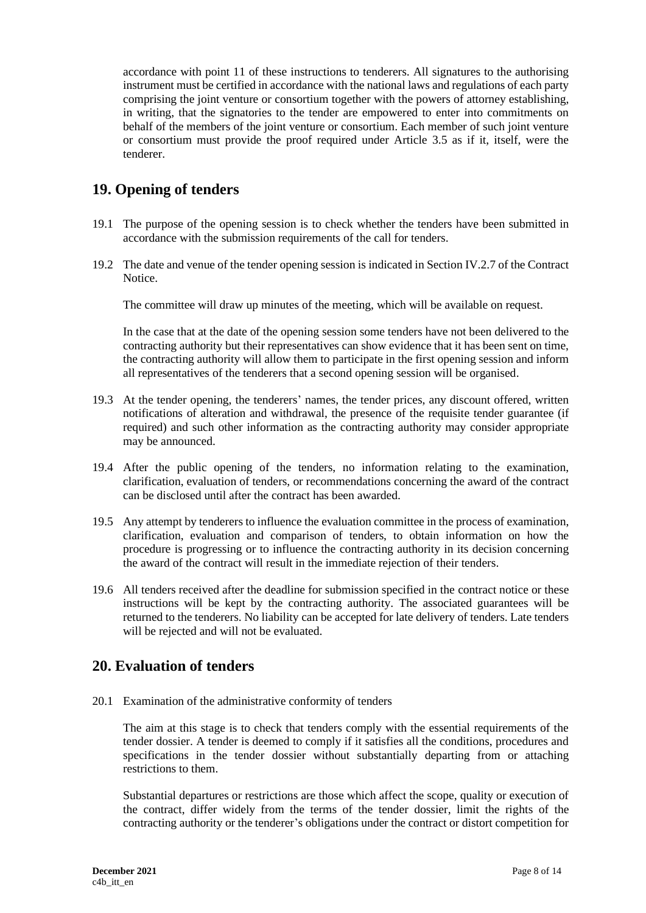accordance with point 11 of these instructions to tenderers. All signatures to the authorising instrument must be certified in accordance with the national laws and regulations of each party comprising the joint venture or consortium together with the powers of attorney establishing, in writing, that the signatories to the tender are empowered to enter into commitments on behalf of the members of the joint venture or consortium. Each member of such joint venture or consortium must provide the proof required under Article 3.5 as if it, itself, were the tenderer.

# **19. Opening of tenders**

- 19.1 The purpose of the opening session is to check whether the tenders have been submitted in accordance with the submission requirements of the call for tenders.
- 19.2 The date and venue of the tender opening session is indicated in Section IV.2.7 of the Contract Notice.

The committee will draw up minutes of the meeting, which will be available on request.

In the case that at the date of the opening session some tenders have not been delivered to the contracting authority but their representatives can show evidence that it has been sent on time, the contracting authority will allow them to participate in the first opening session and inform all representatives of the tenderers that a second opening session will be organised.

- 19.3 At the tender opening, the tenderers' names, the tender prices, any discount offered, written notifications of alteration and withdrawal, the presence of the requisite tender guarantee (if required) and such other information as the contracting authority may consider appropriate may be announced.
- 19.4 After the public opening of the tenders, no information relating to the examination, clarification, evaluation of tenders, or recommendations concerning the award of the contract can be disclosed until after the contract has been awarded.
- 19.5 Any attempt by tenderers to influence the evaluation committee in the process of examination, clarification, evaluation and comparison of tenders, to obtain information on how the procedure is progressing or to influence the contracting authority in its decision concerning the award of the contract will result in the immediate rejection of their tenders.
- 19.6 All tenders received after the deadline for submission specified in the contract notice or these instructions will be kept by the contracting authority. The associated guarantees will be returned to the tenderers. No liability can be accepted for late delivery of tenders. Late tenders will be rejected and will not be evaluated.

## **20. Evaluation of tenders**

20.1 Examination of the administrative conformity of tenders

The aim at this stage is to check that tenders comply with the essential requirements of the tender dossier. A tender is deemed to comply if it satisfies all the conditions, procedures and specifications in the tender dossier without substantially departing from or attaching restrictions to them.

Substantial departures or restrictions are those which affect the scope, quality or execution of the contract, differ widely from the terms of the tender dossier, limit the rights of the contracting authority or the tenderer's obligations under the contract or distort competition for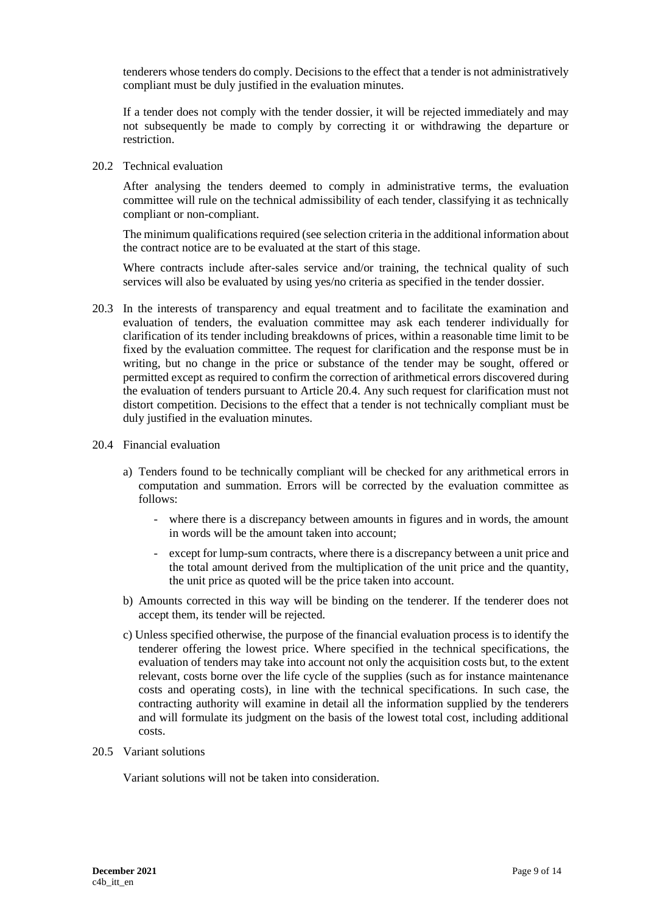tenderers whose tenders do comply. Decisions to the effect that a tender is not administratively compliant must be duly justified in the evaluation minutes.

If a tender does not comply with the tender dossier, it will be rejected immediately and may not subsequently be made to comply by correcting it or withdrawing the departure or restriction.

20.2 Technical evaluation

After analysing the tenders deemed to comply in administrative terms, the evaluation committee will rule on the technical admissibility of each tender, classifying it as technically compliant or non-compliant.

The minimum qualifications required (see selection criteria in the additional information about the contract notice are to be evaluated at the start of this stage.

Where contracts include after-sales service and/or training, the technical quality of such services will also be evaluated by using yes/no criteria as specified in the tender dossier.

- 20.3 In the interests of transparency and equal treatment and to facilitate the examination and evaluation of tenders, the evaluation committee may ask each tenderer individually for clarification of its tender including breakdowns of prices, within a reasonable time limit to be fixed by the evaluation committee. The request for clarification and the response must be in writing, but no change in the price or substance of the tender may be sought, offered or permitted except as required to confirm the correction of arithmetical errors discovered during the evaluation of tenders pursuant to Article 20.4. Any such request for clarification must not distort competition. Decisions to the effect that a tender is not technically compliant must be duly justified in the evaluation minutes.
- 20.4 Financial evaluation
	- a) Tenders found to be technically compliant will be checked for any arithmetical errors in computation and summation. Errors will be corrected by the evaluation committee as follows:
		- where there is a discrepancy between amounts in figures and in words, the amount in words will be the amount taken into account;
		- except for lump-sum contracts, where there is a discrepancy between a unit price and the total amount derived from the multiplication of the unit price and the quantity, the unit price as quoted will be the price taken into account.
	- b) Amounts corrected in this way will be binding on the tenderer. If the tenderer does not accept them, its tender will be rejected.
	- c) Unless specified otherwise, the purpose of the financial evaluation process is to identify the tenderer offering the lowest price. Where specified in the technical specifications, the evaluation of tenders may take into account not only the acquisition costs but, to the extent relevant, costs borne over the life cycle of the supplies (such as for instance maintenance costs and operating costs), in line with the technical specifications. In such case, the contracting authority will examine in detail all the information supplied by the tenderers and will formulate its judgment on the basis of the lowest total cost, including additional costs.
- 20.5 Variant solutions

Variant solutions will not be taken into consideration.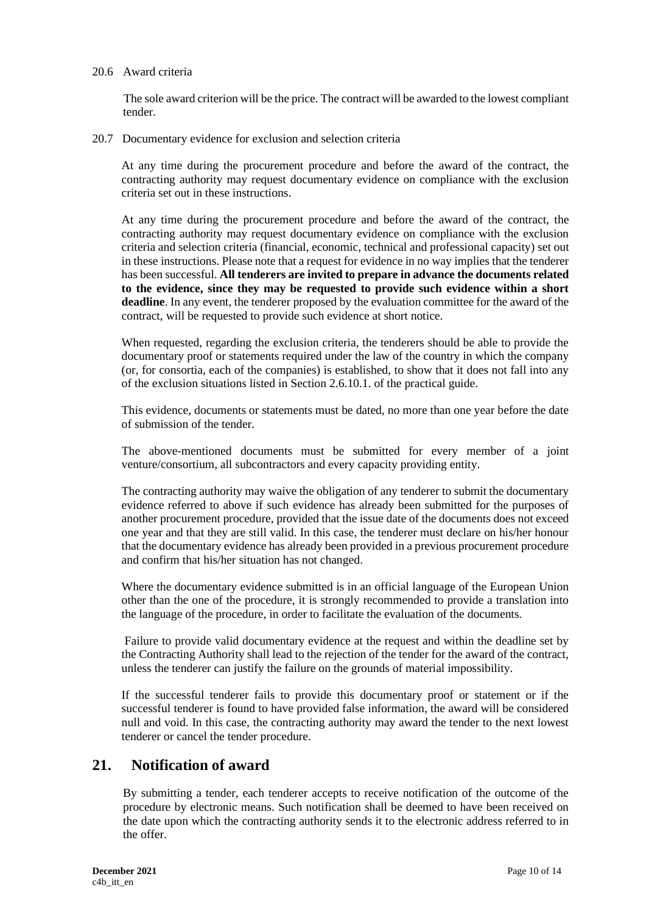#### 20.6 Award criteria

The sole award criterion will be the price. The contract will be awarded to the lowest compliant tender.

20.7 Documentary evidence for exclusion and selection criteria

At any time during the procurement procedure and before the award of the contract, the contracting authority may request documentary evidence on compliance with the exclusion criteria set out in these instructions.

At any time during the procurement procedure and before the award of the contract, the contracting authority may request documentary evidence on compliance with the exclusion criteria and selection criteria (financial, economic, technical and professional capacity) set out in these instructions. Please note that a request for evidence in no way implies that the tenderer has been successful. **All tenderers are invited to prepare in advance the documents related to the evidence, since they may be requested to provide such evidence within a short deadline**. In any event, the tenderer proposed by the evaluation committee for the award of the contract, will be requested to provide such evidence at short notice.

When requested, regarding the exclusion criteria, the tenderers should be able to provide the documentary proof or statements required under the law of the country in which the company (or, for consortia, each of the companies) is established, to show that it does not fall into any of the exclusion situations listed in Section 2.6.10.1. of the practical guide.

This evidence, documents or statements must be dated, no more than one year before the date of submission of the tender.

The above-mentioned documents must be submitted for every member of a joint venture/consortium, all subcontractors and every capacity providing entity.

The contracting authority may waive the obligation of any tenderer to submit the documentary evidence referred to above if such evidence has already been submitted for the purposes of another procurement procedure, provided that the issue date of the documents does not exceed one year and that they are still valid. In this case, the tenderer must declare on his/her honour that the documentary evidence has already been provided in a previous procurement procedure and confirm that his/her situation has not changed.

Where the documentary evidence submitted is in an official language of the European Union other than the one of the procedure, it is strongly recommended to provide a translation into the language of the procedure, in order to facilitate the evaluation of the documents.

Failure to provide valid documentary evidence at the request and within the deadline set by the Contracting Authority shall lead to the rejection of the tender for the award of the contract, unless the tenderer can justify the failure on the grounds of material impossibility.

If the successful tenderer fails to provide this documentary proof or statement or if the successful tenderer is found to have provided false information, the award will be considered null and void. In this case, the contracting authority may award the tender to the next lowest tenderer or cancel the tender procedure.

#### **21. Notification of award**

By submitting a tender, each tenderer accepts to receive notification of the outcome of the procedure by electronic means. Such notification shall be deemed to have been received on the date upon which the contracting authority sends it to the electronic address referred to in the offer.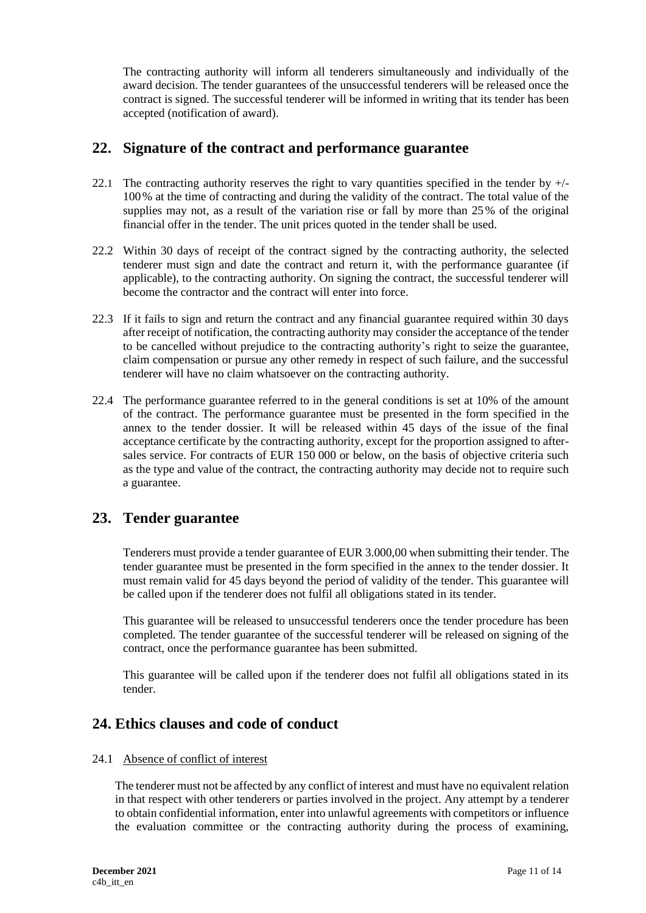The contracting authority will inform all tenderers simultaneously and individually of the award decision. The tender guarantees of the unsuccessful tenderers will be released once the contract is signed. The successful tenderer will be informed in writing that its tender has been accepted (notification of award).

## **22. Signature of the contract and performance guarantee**

- 22.1 The contracting authority reserves the right to vary quantities specified in the tender by  $+/-$ 100% at the time of contracting and during the validity of the contract. The total value of the supplies may not, as a result of the variation rise or fall by more than 25% of the original financial offer in the tender. The unit prices quoted in the tender shall be used.
- 22.2 Within 30 days of receipt of the contract signed by the contracting authority, the selected tenderer must sign and date the contract and return it, with the performance guarantee (if applicable), to the contracting authority. On signing the contract, the successful tenderer will become the contractor and the contract will enter into force.
- 22.3 If it fails to sign and return the contract and any financial guarantee required within 30 days after receipt of notification, the contracting authority may consider the acceptance of the tender to be cancelled without prejudice to the contracting authority's right to seize the guarantee, claim compensation or pursue any other remedy in respect of such failure, and the successful tenderer will have no claim whatsoever on the contracting authority.
- 22.4 The performance guarantee referred to in the general conditions is set at 10% of the amount of the contract. The performance guarantee must be presented in the form specified in the annex to the tender dossier. It will be released within 45 days of the issue of the final acceptance certificate by the contracting authority, except for the proportion assigned to aftersales service. For contracts of EUR 150 000 or below, on the basis of objective criteria such as the type and value of the contract, the contracting authority may decide not to require such a guarantee.

## **23. Tender guarantee**

Tenderers must provide a tender guarantee of EUR 3.000,00 when submitting their tender. The tender guarantee must be presented in the form specified in the annex to the tender dossier. It must remain valid for 45 days beyond the period of validity of the tender. This guarantee will be called upon if the tenderer does not fulfil all obligations stated in its tender.

This guarantee will be released to unsuccessful tenderers once the tender procedure has been completed. The tender guarantee of the successful tenderer will be released on signing of the contract, once the performance guarantee has been submitted.

This guarantee will be called upon if the tenderer does not fulfil all obligations stated in its tender.

## **24. Ethics clauses and code of conduct**

#### 24.1 Absence of conflict of interest

The tenderer must not be affected by any conflict of interest and must have no equivalent relation in that respect with other tenderers or parties involved in the project. Any attempt by a tenderer to obtain confidential information, enter into unlawful agreements with competitors or influence the evaluation committee or the contracting authority during the process of examining,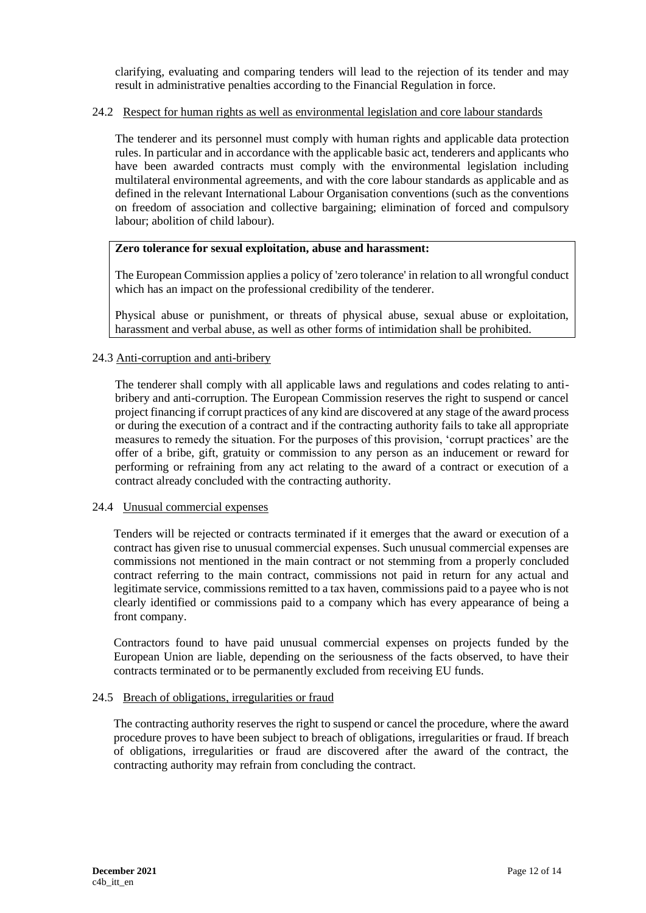clarifying, evaluating and comparing tenders will lead to the rejection of its tender and may result in administrative penalties according to the Financial Regulation in force.

#### 24.2 Respect for human rights as well as environmental legislation and core labour standards

The tenderer and its personnel must comply with human rights and applicable data protection rules. In particular and in accordance with the applicable basic act, tenderers and applicants who have been awarded contracts must comply with the environmental legislation including multilateral environmental agreements, and with the core labour standards as applicable and as defined in the relevant International Labour Organisation conventions (such as the conventions on freedom of association and collective bargaining; elimination of forced and compulsory labour; abolition of child labour).

#### **Zero tolerance for sexual exploitation, abuse and harassment:**

The European Commission applies a policy of 'zero tolerance' in relation to all wrongful conduct which has an impact on the professional credibility of the tenderer.

Physical abuse or punishment, or threats of physical abuse, sexual abuse or exploitation, harassment and verbal abuse, as well as other forms of intimidation shall be prohibited.

#### 24.3 Anti-corruption and anti-bribery

The tenderer shall comply with all applicable laws and regulations and codes relating to antibribery and anti-corruption. The European Commission reserves the right to suspend or cancel project financing if corrupt practices of any kind are discovered at any stage of the award process or during the execution of a contract and if the contracting authority fails to take all appropriate measures to remedy the situation. For the purposes of this provision, 'corrupt practices' are the offer of a bribe, gift, gratuity or commission to any person as an inducement or reward for performing or refraining from any act relating to the award of a contract or execution of a contract already concluded with the contracting authority.

#### 24.4 Unusual commercial expenses

Tenders will be rejected or contracts terminated if it emerges that the award or execution of a contract has given rise to unusual commercial expenses. Such unusual commercial expenses are commissions not mentioned in the main contract or not stemming from a properly concluded contract referring to the main contract, commissions not paid in return for any actual and legitimate service, commissions remitted to a tax haven, commissions paid to a payee who is not clearly identified or commissions paid to a company which has every appearance of being a front company.

Contractors found to have paid unusual commercial expenses on projects funded by the European Union are liable, depending on the seriousness of the facts observed, to have their contracts terminated or to be permanently excluded from receiving EU funds.

#### 24.5 Breach of obligations, irregularities or fraud

The contracting authority reserves the right to suspend or cancel the procedure, where the award procedure proves to have been subject to breach of obligations, irregularities or fraud. If breach of obligations, irregularities or fraud are discovered after the award of the contract, the contracting authority may refrain from concluding the contract.